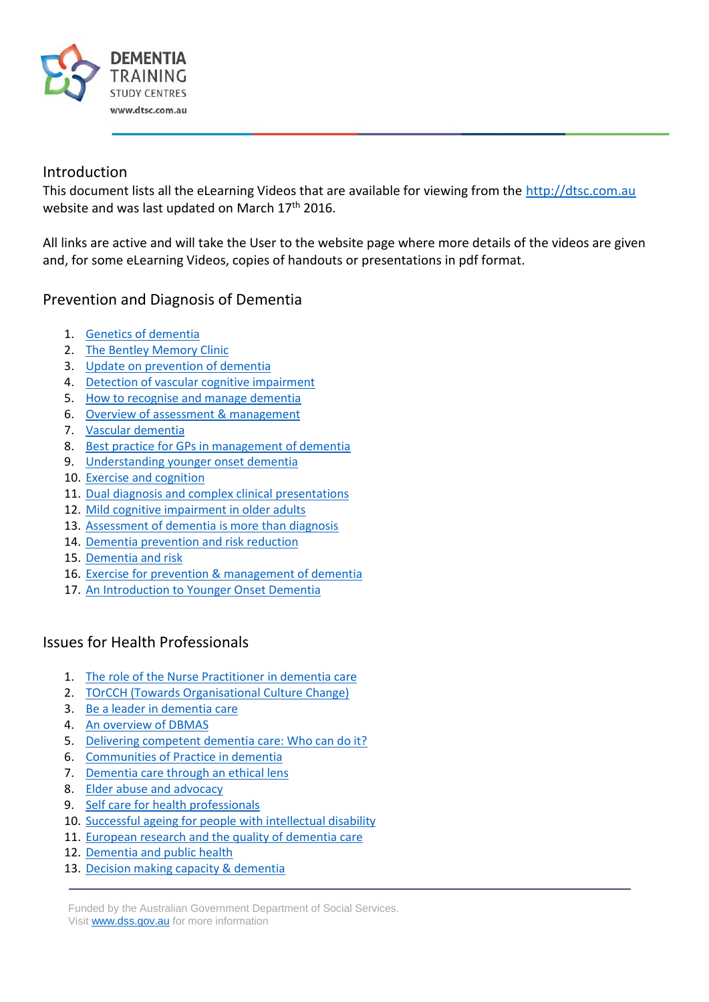

#### Introduction

This document lists all the eLearning Videos that are available for viewing from the [http://dtsc.com.au](http://dtsc.com.au/) website and was last updated on March 17<sup>th</sup> 2016.

All links are active and will take the User to the website page where more details of the videos are given and, for some eLearning Videos, copies of handouts or presentations in pdf format.

#### Prevention and Diagnosis of Dementia

- 1. [Genetics of dementia](http://dtsc.com.au/2014/04/10/genetics-of-dementia/)
- 2. [The Bentley Memory Clinic](http://dtsc.com.au/2014/03/11/the-bentley-memory-clinic/)
- 3. [Update on prevention of dementia](http://dtsc.com.au/2013/03/12/update-on-prevention-of-dementia/)
- 4. [Detection of vascular cognitive impairment](http://dtsc.com.au/2011/11/08/detection-of-vascular-cognitive-impairment/)
- 5. [How to recognise and manage dementia](http://dtsc.com.au/2011/08/13/how-to-recognise-and-manage-dementia/)
- 6. [Overview of assessment & management](http://dtsc.com.au/2009/06/23/overview-of-assessment-management/)
- 7. [Vascular dementia](http://dtsc.com.au/2008/11/10/vascular-dementia/)
- 8. [Best practice for GPs in management of dementia](http://dtsc.com.au/2012/09/11/best-practice-for-gps-in-management-of-dementia/)
- 9. [Understanding younger onset dementia](http://dtsc.com.au/2012/06/14/understanding-younger-onset-dementia-yod/)
- 10. [Exercise and cognition](http://dtsc.com.au/2012/12/11/exercise-and-cognition/)
- 11. [Dual diagnosis and complex clinical presentations](http://dtsc.com.au/2012/04/19/dual-diagnosis-and-complex-clinical-presentations/)
- 12. [Mild cognitive impairment in older adults](http://dtsc.com.au/2012/02/15/mild-cognitive-impairment-in-older-adults/)
- 13. [Assessment of dementia is more than diagnosis](http://dtsc.com.au/2011/11/22/assessment-of-dementia-is-more-than-diagnosis/)
- 14. [Dementia prevention and risk reduction](http://dtsc.com.au/2011/02/23/dementia-prevention-and-risk-reduction/)
- 15. [Dementia and risk](http://dtsc.com.au/2010/08/19/dementia-and-risk/)
- 16. [Exercise for prevention & management of dementia](http://dtsc.com.au/2008/03/11/exercise-for-prevention-management-of-dementia/)
- 17. [An Introduction to Younger Onset Dementia](http://dtsc.com.au/2015/05/20/an-introduction-to-younger-onset-dementia/)

#### Issues for Health Professionals

- 1. [The role of the Nurse Practitioner in dementia care](http://dtsc.com.au/2014/06/19/the-role-of-the-nurse-practitioner-in-dementia-care/)
- 2. [TOrCCH \(Towards Organisational Culture Change\)](http://dtsc.com.au/2014/05/14/torcch-towards-organisational-culture-change/)
- 3. [Be a leader in dementia care](http://dtsc.com.au/2014/02/07/379/)
- 4. [An overview of DBMAS](http://dtsc.com.au/2013/10/15/an-overview-of-dbmas/)
- 5. [Delivering competent dementia care: Who can do it?](http://dtsc.com.au/2013/03/18/delivering-competent-dementia-care-who-can-do-it/)
- 6. [Communities of Practice in dementia](http://dtsc.com.au/2011/09/21/communities-of-practice-in-dementia/)
- 7. [Dementia care through an ethical lens](http://dtsc.com.au/2011/02/23/dementia-care-through-an-ethical-lens/)
- 8. [Elder abuse and advocacy](http://dtsc.com.au/2009/06/24/elder-abuse-and-advocacy/)
- 9. [Self care for health professionals](http://dtsc.com.au/2009/04/08/self-care-for-health-professionals/)
- 10. [Successful ageing for people with intellectual disability](http://dtsc.com.au/2014/10/22/successful-ageing-for-people-with-intellectual-disability/)
- 11. [European research and the quality of dementia care](http://dtsc.com.au/2013/06/25/european-research-and-the-quality-of-dementia-care/)
- 12. [Dementia and public health](http://dtsc.com.au/2011/06/21/dementia-and-public-health/)
- 13. [Decision making capacity & dementia](http://dtsc.com.au/2010/11/09/decision-making-capacity-dementia/)

Funded by the Australian Government Department of Social Services. Visit [www.dss.gov.au](http://www.dss.gov.au/) for more information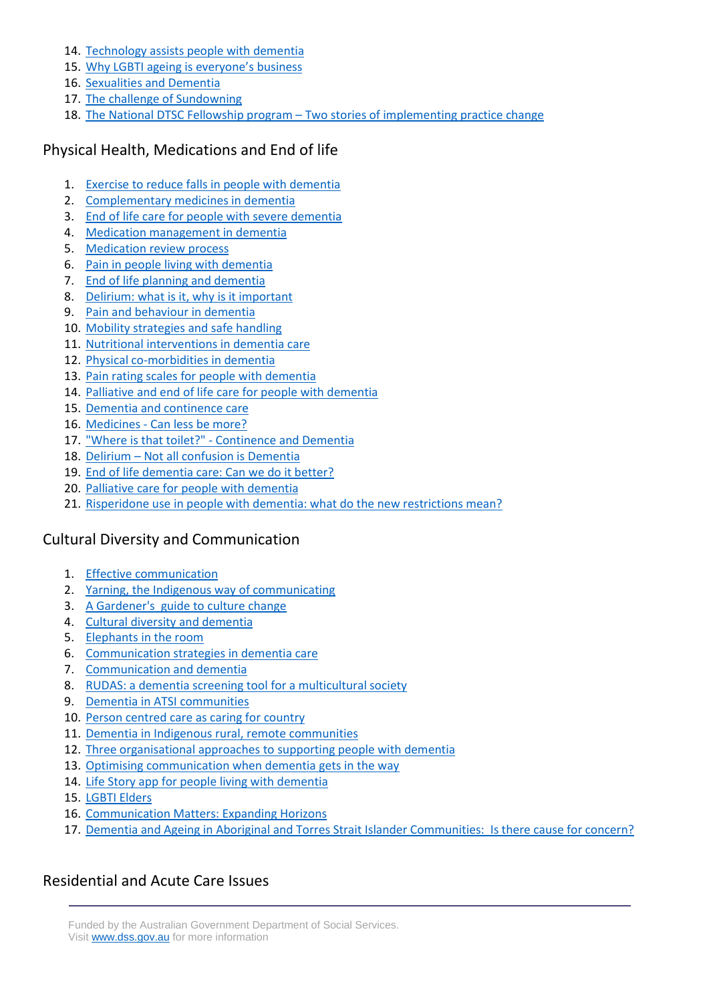- 14. [Technology assists people with dementia](http://dtsc.com.au/2010/09/01/technology-assists-people-with-dementia/)
- 15. [Why LGBTI ageing is everyone's business](http://dtsc.com.au/2015/03/18/why-lgbti-ageing-should-be-everyones-business/)
- 16. [Sexualities and Dementia](http://dtsc.com.au/2015/05/21/sexualities-and-dementia/)
- 17. [The challenge of Sundowning](http://dtsc.com.au/2015/10/01/the-challenge-of-sundowning/)
- 18. The National DTSC Fellowship program [Two stories of implementing practice change](http://dtsc.com.au/2015/10/15/the-national-dtsc-fellowship-program-two-stories-of-implementing-practice-change/)

### Physical Health, Medications and End of life

- 1. [Exercise to reduce falls in people with dementia](http://dtsc.com.au/2014/09/22/exercise-to-reduce-falls-risk-in-people-with-dementia/)
- 2. [Complementary medicines in dementia](http://dtsc.com.au/2014/09/16/complementary-medicines-in-dementia/)
- 3. [End of life care for people with severe dementia](http://dtsc.com.au/2014/08/21/end-of-life-care-for-people-with-severe-dementia/)
- 4. [Medication management in dementia](http://dtsc.com.au/2014/07/24/593/)
- 5. [Medication review process](http://dtsc.com.au/2013/04/10/medication-review-process/)
- 6. [Pain in people living with dementia](http://dtsc.com.au/2012/05/28/pain-in-people-living-with-dementia/)
- 7. [End of life planning and dementia](http://dtsc.com.au/2011/04/19/end-of-life-planning-and-dementia/)
- 8. [Delirium: what is it, why is it important](http://dtsc.com.au/2010/08/18/delirium-what-is-it-why-is-it-important/)
- 9. [Pain and behaviour in dementia](http://dtsc.com.au/2009/08/25/pain-and-behaviour-in-dementia/)
- 10. [Mobility strategies and safe handling](http://dtsc.com.au/2008/05/14/mobility-strategies-and-safe-handling/)
- 11. [Nutritional interventions in dementia care](http://dtsc.com.au/2013/10/22/nutritional-interventions-in-dementia-care/)
- 12. [Physical co-morbidities in dementia](http://dtsc.com.au/2012/11/27/physical-co-morbidities-in-dementia/)
- 13. [Pain rating scales for people with dementia](http://dtsc.com.au/2012/03/20/pain-rating-scales-for-people-with-dementia/)
- 14. [Palliative and end of life care for people with dementia](http://dtsc.com.au/2011/08/22/palliative-and-end-of-life-care-for-people-with-dementia/)
- 15. [Dementia and continence care](http://dtsc.com.au/2009/03/11/dementia-and-continence-care/)
- 16. Medicines [Can less be more?](http://dtsc.com.au/2015/05/06/medicines-can-less-be-more/)
- 17. "Where is that toilet?" [Continence and Dementia](http://dtsc.com.au/2015/06/23/where-is-that-toilet-continence-and-dementia/)
- 18. Delirium [Not all confusion is Dementia](http://dtsc.com.au/2014/08/13/delirium-not-all-confusion-is-dementia/)
- 19. [End of life dementia care: Can we do it better?](http://dtsc.com.au/2013/07/05/end-of-life-dementia-care-can-we-do-it-better/)
- 20. [Palliative care for people with dementia](http://dtsc.com.au/2015/10/28/palliative-care-for-people-with-dementia/)
- 21. [Risperidone use in people with dementia: what do the new restrictions mean?](http://dtsc.com.au/2016/02/24/risperidone-use-in-people-with-dementia-what-do-the-new-restrictions-mean/)

#### Cultural Diversity and Communication

- 1. [Effective communication](http://dtsc.com.au/2014/01/07/effective-communication/)
- 2. [Yarning, the Indigenous way of communicating](http://dtsc.com.au/2012/07/31/yarning-the-indigenous-way-of-communicating/)
- 3. [A Gardener's guide to culture change](http://dtsc.com.au/2012/04/26/a-gardners-guide-to-culture-change/)
- 4. [Cultural diversity and dementia](http://dtsc.com.au/2011/12/08/cultural-diversity-and-dementia/)
- 5. [Elephants in the room](http://dtsc.com.au/2011/11/15/elephants-in-the-room/)
- 6. [Communication strategies in dementia care](http://dtsc.com.au/2007/11/20/communication-strategies-in-dementia-care/)
- 7. [Communication and dementia](http://dtsc.com.au/2013/09/10/communication-and-dementia/)
- 8. [RUDAS: a dementia screening tool for a multicultural society](http://dtsc.com.au/2013/08/22/rudas-a-dementia-screening-tool-for-a-multicultural-society/)
- 9. [Dementia in ATSI communities](http://dtsc.com.au/2011/03/16/dementia-in-aboriginal-torres-strait-islander-communities/)
- 10. [Person centred care as caring for country](http://dtsc.com.au/2010/09/29/person-centred-care-as-caring-for-country/)
- 11. [Dementia in Indigenous rural, remote communities](http://dtsc.com.au/2007/09/10/dementia-in-indigenous-rural-remote-communities/)
- 12. [Three organisational approaches to supporting people with dementia](http://dtsc.com.au/2015/07/30/three-organisational-approaches-to-supporting-people-with-dementia/)
- 13. [Optimising communication when dementia gets in the way](http://dtsc.com.au/2015/09/09/optimising-communication-when-dementia-gets-in-the-way/)
- 14. [Life Story app for people living with dementia](http://dtsc.com.au/2015/09/09/life-story-app-for-people-living-with-dementia/)
- 15. [LGBTI Elders](http://dtsc.com.au/2015/10/20/lgbti-elders/)
- 16. [Communication Matters: Expanding Horizons](http://dtsc.com.au/2015/12/10/communication-matters-expanding-horizons/)
- 17. [Dementia and Ageing in Aboriginal and Torres Strait Islander Communities: Is there cause for concern?](http://dtsc.com.au/2016/03/03/dementia-and-ageing-in-aboriginal-and-torres-strait-islander-communities-is-there-cause-for-concern/)

#### Residential and Acute Care Issues